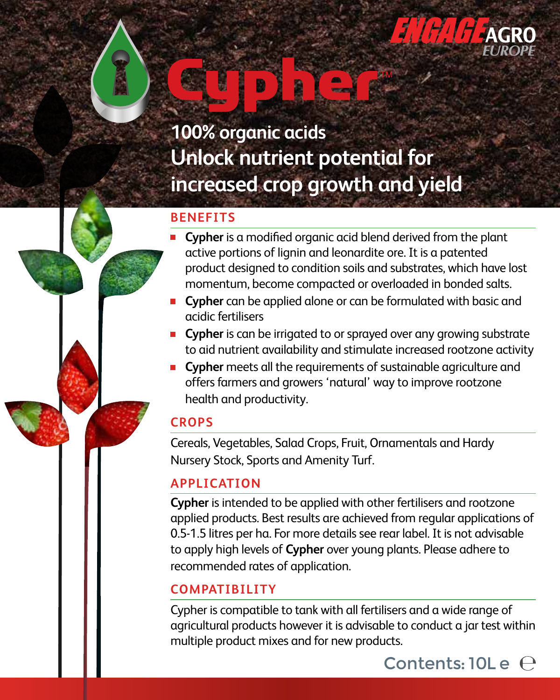

# **100% organic acids Unlock nutrient potential for increased crop growth and yield**

#### **BENEFITS**

- **Cypher** is a modified organic acid blend derived from the plant active portions of lignin and leonardite ore. It is a patented product designed to condition soils and substrates, which have lost momentum, become compacted or overloaded in bonded salts.
- **Cypher** can be applied alone or can be formulated with basic and acidic fertilisers
- **Cypher** is can be irrigated to or sprayed over any growing substrate to aid nutrient availability and stimulate increased rootzone activity
- **Cypher** meets all the requirements of sustainable agriculture and offers farmers and growers 'natural' way to improve rootzone health and productivity.

### **CROPS**

Cereals, Vegetables, Salad Crops, Fruit, Ornamentals and Hardy Nursery Stock, Sports and Amenity Turf.

### **APPLICATION**

**Cypher** is intended to be applied with other fertilisers and rootzone applied products. Best results are achieved from regular applications of 0.5-1.5 litres per ha. For more details see rear label. It is not advisable to apply high levels of **Cypher** over young plants. Please adhere to recommended rates of application.

### **COMPATIBILITY**

Cypher is compatible to tank with all fertilisers and a wide range of agricultural products however it is advisable to conduct a jar test within multiple product mixes and for new products.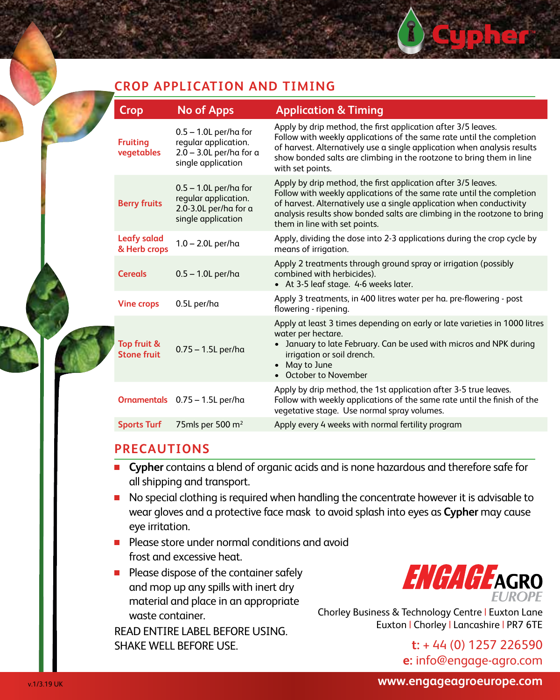#### **CROP APPLICATION AND TIMING**

|  | Crop                               | <b>No of Apps</b>                                                                                    | <b>Application &amp; Timing</b>                                                                                                                                                                                                                                                                                             |
|--|------------------------------------|------------------------------------------------------------------------------------------------------|-----------------------------------------------------------------------------------------------------------------------------------------------------------------------------------------------------------------------------------------------------------------------------------------------------------------------------|
|  | <b>Fruiting</b><br>vegetables      | $0.5 - 1.0$ L per/ha for<br>reqular application.<br>$2.0 - 3.0$ L per/ha for a<br>single application | Apply by drip method, the first application after 3/5 leaves.<br>Follow with weekly applications of the same rate until the completion<br>of harvest. Alternatively use a single application when analysis results<br>show bonded salts are climbing in the rootzone to bring them in line<br>with set points.              |
|  | <b>Berry fruits</b>                | $0.5 - 1.0$ L per/ha for<br>regular application.<br>2.0-3.0L per/ha for a<br>single application      | Apply by drip method, the first application after 3/5 leaves.<br>Follow with weekly applications of the same rate until the completion<br>of harvest. Alternatively use a single application when conductivity<br>analysis results show bonded salts are climbing in the rootzone to bring<br>them in line with set points. |
|  | <b>Leafy salad</b><br>& Herb crops | $1.0 - 2.0$ L per/ha                                                                                 | Apply, dividing the dose into 2-3 applications during the crop cycle by<br>means of irrigation.                                                                                                                                                                                                                             |
|  | <b>Cereals</b>                     | $0.5 - 1.0$ L per/ha                                                                                 | Apply 2 treatments through ground spray or irrigation (possibly<br>combined with herbicides).<br>• At 3-5 leaf stage. 4-6 weeks later.                                                                                                                                                                                      |
|  | <b>Vine crops</b>                  | 0.5L per/ha                                                                                          | Apply 3 treatments, in 400 litres water per ha. pre-flowering - post<br>flowering - ripening.                                                                                                                                                                                                                               |
|  | Top fruit &<br><b>Stone fruit</b>  | $0.75 - 1.5$ L per/ha                                                                                | Apply at least 3 times depending on early or late varieties in 1000 litres<br>water per hectare.<br>January to late February. Can be used with micros and NPK during<br>irrigation or soil drench.<br>• May to June<br>• October to November                                                                                |
|  |                                    | Ornamentals 0.75 - 1.5L per/ha                                                                       | Apply by drip method, the 1st application after 3-5 true leaves.<br>Follow with weekly applications of the same rate until the finish of the<br>vegetative stage. Use normal spray volumes.                                                                                                                                 |
|  | <b>Sports Turf</b>                 | 75mls per 500 m <sup>2</sup>                                                                         | Apply every 4 weeks with normal fertility program                                                                                                                                                                                                                                                                           |

#### **PRECAUTIONS**

- **Cypher** contains a blend of organic acids and is none hazardous and therefore safe for all shipping and transport.
- No special clothing is required when handling the concentrate however it is advisable to wear gloves and a protective face mask to avoid splash into eyes as **Cypher** may cause eye irritation.
- **Please store under normal conditions and avoid** frost and excessive heat.
- **Please dispose of the container safely** and mop up any spills with inert dry material and place in an appropriate waste container.

READ ENTIRE LABEL BEFORE USING. SHAKE WELL BEFORE USE.



Chorley Business & Technology Centre | Euxton Lane Euxton | Chorley | Lancashire | PR7 6TE

> **t:** + 44 (0) 1257 226590 **e:** info@engage-agro.com